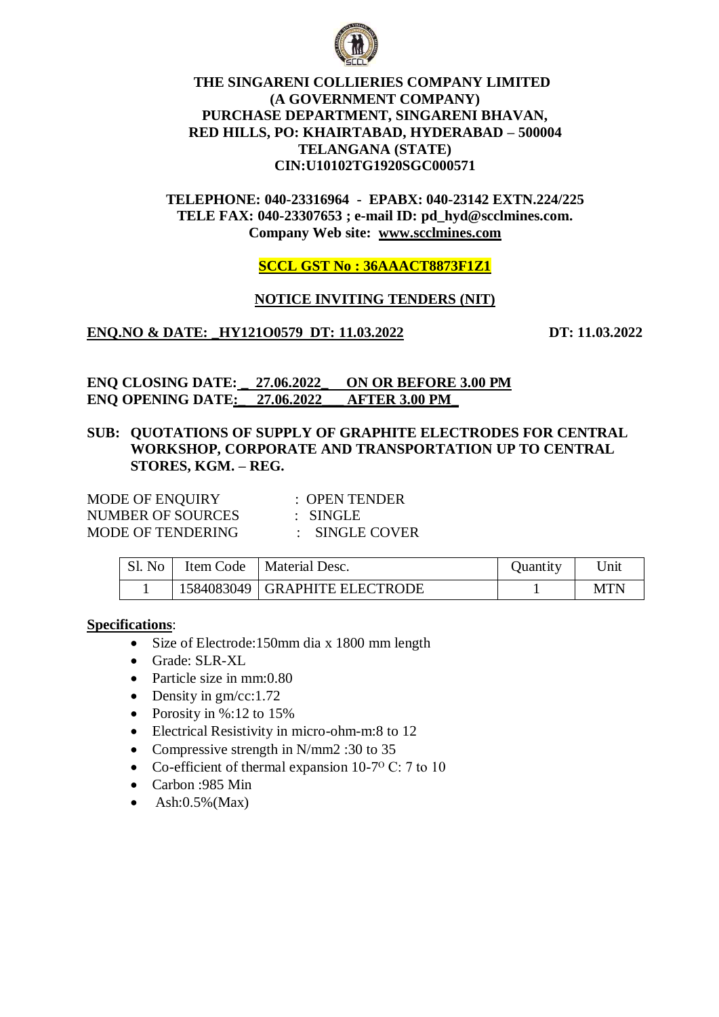

# **THE SINGARENI COLLIERIES COMPANY LIMITED (A GOVERNMENT COMPANY) PURCHASE DEPARTMENT, SINGARENI BHAVAN, RED HILLS, PO: KHAIRTABAD, HYDERABAD – 500004 TELANGANA (STATE) CIN:U10102TG1920SGC000571**

# **TELEPHONE: 040-23316964 - EPABX: 040-23142 EXTN.224/225 TELE FAX: 040-23307653 ; e-mail ID: pd\_hyd@scclmines.com. Company Web site: [www.scclmines.com](http://www.scclmines.com/)**

**SCCL GST No : 36AAACT8873F1Z1**

# **NOTICE INVITING TENDERS (NIT)**

**ENQ.NO & DATE: \_HY121O0579 DT: 11.03.2022 DT: 11.03.2022**

**ENQ CLOSING DATE: \_ 27.06.2022\_ ON OR BEFORE 3.00 PM ENQ OPENING DATE:\_ 27.06.2022\_\_\_ AFTER 3.00 PM\_**

# **SUB: QUOTATIONS OF SUPPLY OF GRAPHITE ELECTRODES FOR CENTRAL WORKSHOP, CORPORATE AND TRANSPORTATION UP TO CENTRAL STORES, KGM. – REG.**

| <b>MODE OF ENQUIRY</b>   | $\therefore$ OPEN TENDER  |
|--------------------------|---------------------------|
| NUMBER OF SOURCES        | $:$ SINGLE                |
| <b>MODE OF TENDERING</b> | $\therefore$ SINGLE COVER |

| Sl. No | Item Code | Material Desc.                  | <i><u>Ouantity</u></i> | 'Jnit |
|--------|-----------|---------------------------------|------------------------|-------|
|        |           | 1584083049   GRAPHITE ELECTRODE |                        | MTN   |

### **Specifications**:

- Size of Electrode:150mm dia x 1800 mm length
- Grade: SLR-XL
- Particle size in mm:0.80
- $\bullet$  Density in gm/cc:1.72
- Porosity in  $\%$ :12 to 15%
- Electrical Resistivity in micro-ohm-m:8 to 12
- Compressive strength in N/mm2 :30 to 35
- Co-efficient of thermal expansion  $10\text{-}7^{\circ}$  C: 7 to 10
- Carbon :985 Min
- $\bullet$  Ash:0.5%(Max)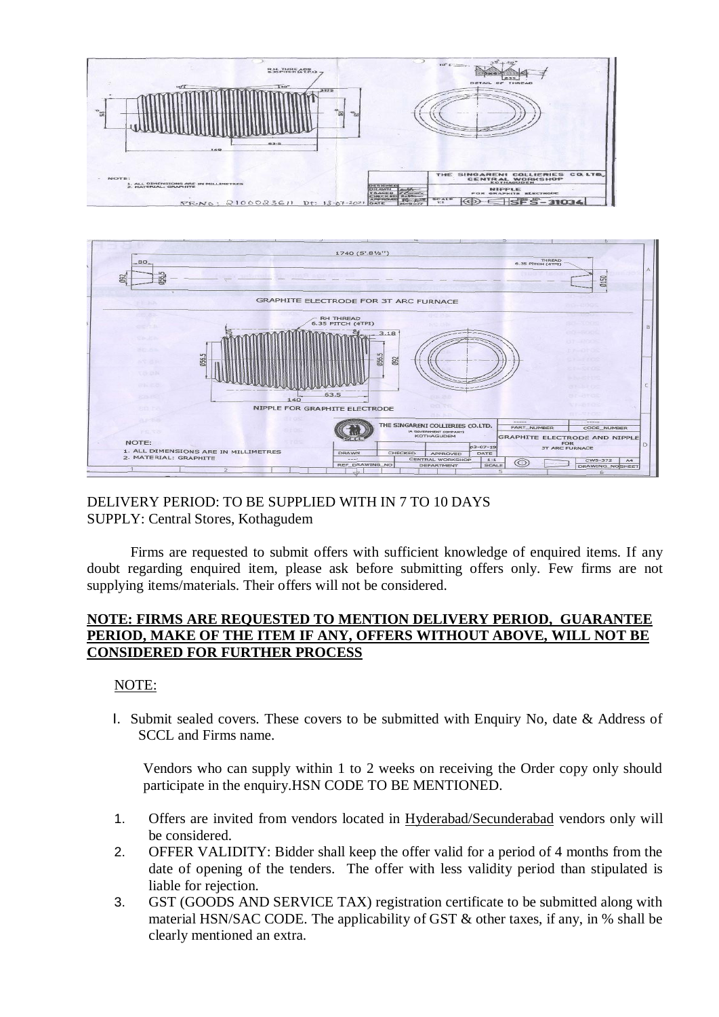



# DELIVERY PERIOD: TO BE SUPPLIED WITH IN 7 TO 10 DAYS SUPPLY: Central Stores, Kothagudem

Firms are requested to submit offers with sufficient knowledge of enquired items. If any doubt regarding enquired item, please ask before submitting offers only. Few firms are not supplying items/materials. Their offers will not be considered.

### **NOTE: FIRMS ARE REQUESTED TO MENTION DELIVERY PERIOD, GUARANTEE PERIOD, MAKE OF THE ITEM IF ANY, OFFERS WITHOUT ABOVE, WILL NOT BE CONSIDERED FOR FURTHER PROCESS**

### NOTE:

I. Submit sealed covers. These covers to be submitted with Enquiry No, date & Address of SCCL and Firms name.

Vendors who can supply within 1 to 2 weeks on receiving the Order copy only should participate in the enquiry.HSN CODE TO BE MENTIONED.

- 1. Offers are invited from vendors located in Hyderabad/Secunderabad vendors only will be considered.
- 2. OFFER VALIDITY: Bidder shall keep the offer valid for a period of 4 months from the date of opening of the tenders. The offer with less validity period than stipulated is liable for rejection.
- 3. GST (GOODS AND SERVICE TAX) registration certificate to be submitted along with material HSN/SAC CODE. The applicability of GST & other taxes, if any, in % shall be clearly mentioned an extra.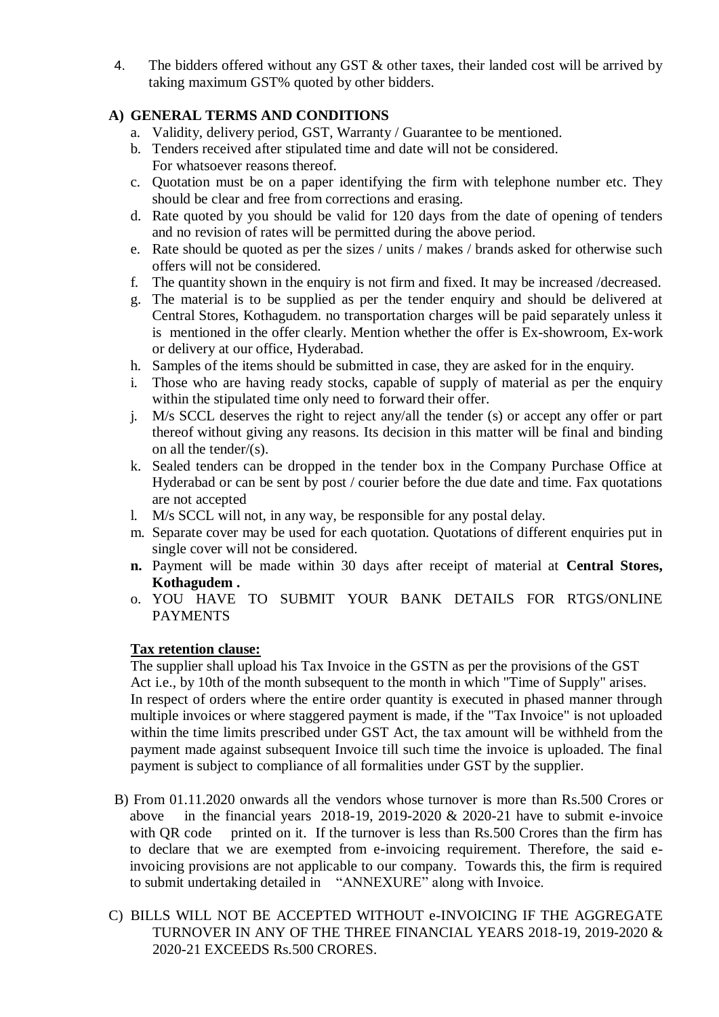4. The bidders offered without any GST & other taxes, their landed cost will be arrived by taking maximum GST% quoted by other bidders.

# **A) GENERAL TERMS AND CONDITIONS**

- a. Validity, delivery period, GST, Warranty / Guarantee to be mentioned.
- b. Tenders received after stipulated time and date will not be considered. For whatsoever reasons thereof.
- c. Quotation must be on a paper identifying the firm with telephone number etc. They should be clear and free from corrections and erasing.
- d. Rate quoted by you should be valid for 120 days from the date of opening of tenders and no revision of rates will be permitted during the above period.
- e. Rate should be quoted as per the sizes / units / makes / brands asked for otherwise such offers will not be considered.
- f. The quantity shown in the enquiry is not firm and fixed. It may be increased /decreased.
- g. The material is to be supplied as per the tender enquiry and should be delivered at Central Stores, Kothagudem. no transportation charges will be paid separately unless it is mentioned in the offer clearly. Mention whether the offer is Ex-showroom, Ex-work or delivery at our office, Hyderabad.
- h. Samples of the items should be submitted in case, they are asked for in the enquiry.
- i. Those who are having ready stocks, capable of supply of material as per the enquiry within the stipulated time only need to forward their offer.
- j. M/s SCCL deserves the right to reject any/all the tender (s) or accept any offer or part thereof without giving any reasons. Its decision in this matter will be final and binding on all the tender/(s).
- k. Sealed tenders can be dropped in the tender box in the Company Purchase Office at Hyderabad or can be sent by post / courier before the due date and time. Fax quotations are not accepted
- l. M/s SCCL will not, in any way, be responsible for any postal delay.
- m. Separate cover may be used for each quotation. Quotations of different enquiries put in single cover will not be considered.
- **n.** Payment will be made within 30 days after receipt of material at **Central Stores, Kothagudem .**
- o. YOU HAVE TO SUBMIT YOUR BANK DETAILS FOR RTGS/ONLINE PAYMENTS

# **Tax retention clause:**

The supplier shall upload his Tax Invoice in the GSTN as per the provisions of the GST Act i.e., by 10th of the month subsequent to the month in which "Time of Supply" arises. In respect of orders where the entire order quantity is executed in phased manner through multiple invoices or where staggered payment is made, if the "Tax Invoice" is not uploaded within the time limits prescribed under GST Act, the tax amount will be withheld from the payment made against subsequent Invoice till such time the invoice is uploaded. The final payment is subject to compliance of all formalities under GST by the supplier.

- B) From 01.11.2020 onwards all the vendors whose turnover is more than Rs.500 Crores or above in the financial years 2018-19, 2019-2020  $& 2020-21$  have to submit e-invoice with QR code printed on it. If the turnover is less than Rs.500 Crores than the firm has to declare that we are exempted from e-invoicing requirement. Therefore, the said einvoicing provisions are not applicable to our company. Towards this, the firm is required to submit undertaking detailed in "ANNEXURE" along with Invoice.
- C) BILLS WILL NOT BE ACCEPTED WITHOUT e-INVOICING IF THE AGGREGATE TURNOVER IN ANY OF THE THREE FINANCIAL YEARS 2018-19, 2019-2020 & 2020-21 EXCEEDS Rs.500 CRORES.